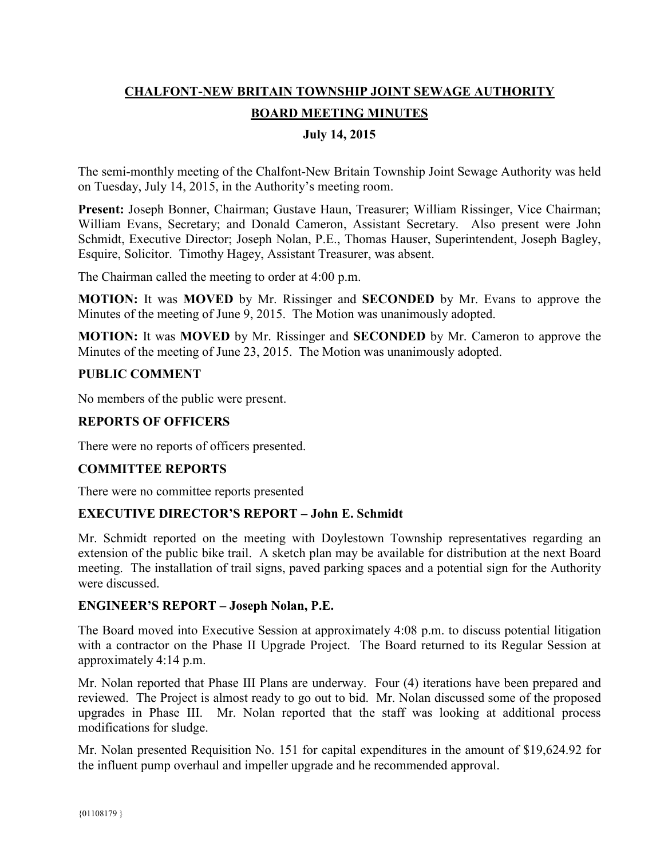# **CHALFONT-NEW BRITAIN TOWNSHIP JOINT SEWAGE AUTHORITY BOARD MEETING MINUTES**

# **July 14, 2015**

The semi-monthly meeting of the Chalfont-New Britain Township Joint Sewage Authority was held on Tuesday, July 14, 2015, in the Authority's meeting room.

**Present:** Joseph Bonner, Chairman; Gustave Haun, Treasurer; William Rissinger, Vice Chairman; William Evans, Secretary; and Donald Cameron, Assistant Secretary. Also present were John Schmidt, Executive Director; Joseph Nolan, P.E., Thomas Hauser, Superintendent, Joseph Bagley, Esquire, Solicitor. Timothy Hagey, Assistant Treasurer, was absent.

The Chairman called the meeting to order at 4:00 p.m.

**MOTION:** It was **MOVED** by Mr. Rissinger and **SECONDED** by Mr. Evans to approve the Minutes of the meeting of June 9, 2015. The Motion was unanimously adopted.

**MOTION:** It was **MOVED** by Mr. Rissinger and **SECONDED** by Mr. Cameron to approve the Minutes of the meeting of June 23, 2015. The Motion was unanimously adopted.

## **PUBLIC COMMENT**

No members of the public were present.

# **REPORTS OF OFFICERS**

There were no reports of officers presented.

# **COMMITTEE REPORTS**

There were no committee reports presented

#### **EXECUTIVE DIRECTOR'S REPORT – John E. Schmidt**

Mr. Schmidt reported on the meeting with Doylestown Township representatives regarding an extension of the public bike trail. A sketch plan may be available for distribution at the next Board meeting. The installation of trail signs, paved parking spaces and a potential sign for the Authority were discussed.

#### **ENGINEER'S REPORT – Joseph Nolan, P.E.**

The Board moved into Executive Session at approximately 4:08 p.m. to discuss potential litigation with a contractor on the Phase II Upgrade Project. The Board returned to its Regular Session at approximately 4:14 p.m.

Mr. Nolan reported that Phase III Plans are underway. Four (4) iterations have been prepared and reviewed. The Project is almost ready to go out to bid. Mr. Nolan discussed some of the proposed upgrades in Phase III. Mr. Nolan reported that the staff was looking at additional process modifications for sludge.

Mr. Nolan presented Requisition No. 151 for capital expenditures in the amount of \$19,624.92 for the influent pump overhaul and impeller upgrade and he recommended approval.